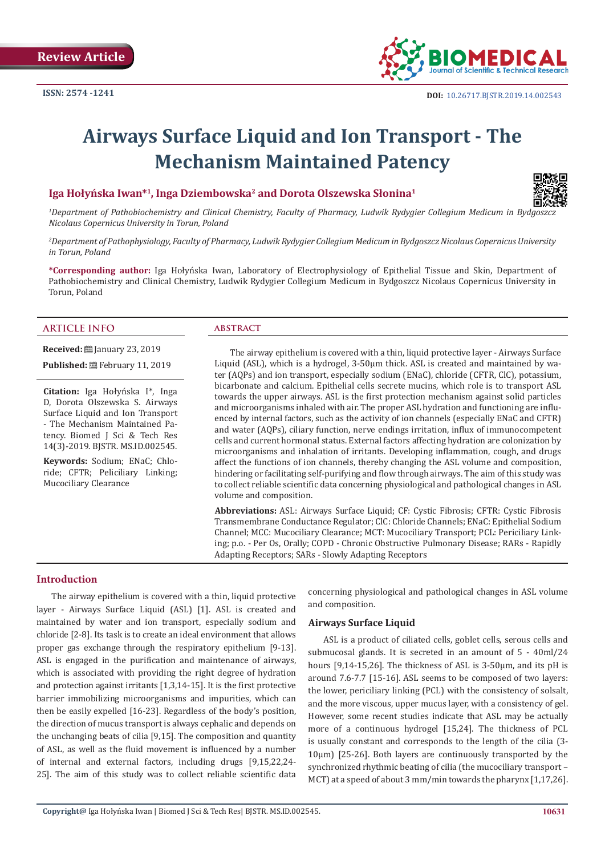

# **Airways Surface Liquid and Ion Transport - The Mechanism Maintained Patency**

# **Iga Hołyńska Iwan\*<sup>1</sup>, Inga Dziembowska<sup>2</sup> and Dorota Olszewska Słonina<sup>1</sup>**



*1 Department of Pathobiochemistry and Clinical Chemistry, Faculty of Pharmacy, Ludwik Rydygier Collegium Medicum in Bydgoszcz Nicolaus Copernicus University in Torun, Poland*

*2 Department of Pathophysiology, Faculty of Pharmacy, Ludwik Rydygier Collegium Medicum in Bydgoszcz Nicolaus Copernicus University in Torun, Poland*

**\*Corresponding author:** Iga Hołyńska Iwan, Laboratory of Electrophysiology of Epithelial Tissue and Skin, Department of Pathobiochemistry and Clinical Chemistry, Ludwik Rydygier Collegium Medicum in Bydgoszcz Nicolaus Copernicus University in Torun, Poland

#### **ARTICLE INFO abstract**

**Received:** January 23, 2019

**Published:** February 11, 2019

**Citation:** Iga Hołyńska I\*, Inga D, Dorota Olszewska S. Airways Surface Liquid and Ion Transport - The Mechanism Maintained Patency. Biomed J Sci & Tech Res 14(3)-2019. BJSTR. MS.ID.002545.

**Keywords:** Sodium; ENaC; Chloride; CFTR; Peliciliary Linking; Mucociliary Clearance

The airway epithelium is covered with a thin, liquid protective layer - Airways Surface Liquid (ASL), which is a hydrogel, 3-50μm thick. ASL is created and maintained by water (AQPs) and ion transport, especially sodium (ENaC), chloride (CFTR, ClC), potassium, bicarbonate and calcium. Epithelial cells secrete mucins, which role is to transport ASL towards the upper airways. ASL is the first protection mechanism against solid particles and microorganisms inhaled with air. The proper ASL hydration and functioning are influenced by internal factors, such as the activity of ion channels (especially ENaC and CFTR) and water (AQPs), ciliary function, nerve endings irritation, influx of immunocompetent cells and current hormonal status. External factors affecting hydration are colonization by microorganisms and inhalation of irritants. Developing inflammation, cough, and drugs affect the functions of ion channels, thereby changing the ASL volume and composition, hindering or facilitating self-purifying and flow through airways. The aim of this study was to collect reliable scientific data concerning physiological and pathological changes in ASL volume and composition.

**Abbreviations:** ASL: Airways Surface Liquid; CF: Cystic Fibrosis; CFTR: Cystic Fibrosis Transmembrane Conductance Regulator; ClC: Chloride Channels; ENaC: Epithelial Sodium Channel; MCC: Mucociliary Clearance; MCT: Mucociliary Transport; PCL: Periciliary Linking; p.o. - Per Os, Orally; COPD - Chronic Obstructive Pulmonary Disease; RARs - Rapidly Adapting Receptors; SARs - Slowly Adapting Receptors

# **Introduction**

The airway epithelium is covered with a thin, liquid protective layer - Airways Surface Liquid (ASL) [1]. ASL is created and maintained by water and ion transport, especially sodium and chloride [2-8]. Its task is to create an ideal environment that allows proper gas exchange through the respiratory epithelium [9-13]. ASL is engaged in the purification and maintenance of airways, which is associated with providing the right degree of hydration and protection against irritants [1,3,14-15]. It is the first protective barrier immobilizing microorganisms and impurities, which can then be easily expelled [16-23]. Regardless of the body's position, the direction of mucus transport is always cephalic and depends on the unchanging beats of cilia [9,15]. The composition and quantity of ASL, as well as the fluid movement is influenced by a number of internal and external factors, including drugs [9,15,22,24- 25]. The aim of this study was to collect reliable scientific data

concerning physiological and pathological changes in ASL volume and composition.

#### **Airways Surface Liquid**

ASL is a product of ciliated cells, goblet cells, serous cells and submucosal glands. It is secreted in an amount of 5 - 40ml/24 hours [9,14-15,26]. The thickness of ASL is 3-50μm, and its pH is around 7.6-7.7 [15-16]. ASL seems to be composed of two layers: the lower, periciliary linking (PCL) with the consistency of solsalt, and the more viscous, upper mucus layer, with a consistency of gel. However, some recent studies indicate that ASL may be actually more of a continuous hydrogel [15,24]. The thickness of PCL is usually constant and corresponds to the length of the cilia (3- 10μm) [25-26]. Both layers are continuously transported by the synchronized rhythmic beating of cilia (the mucociliary transport – MCT) at a speed of about 3 mm/min towards the pharynx [1,17,26].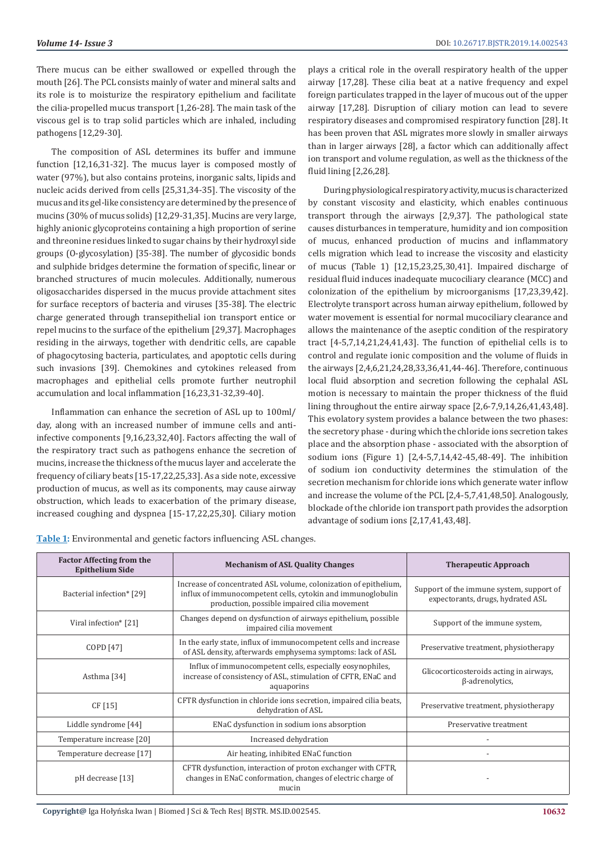There mucus can be either swallowed or expelled through the mouth [26]. The PCL consists mainly of water and mineral salts and its role is to moisturize the respiratory epithelium and facilitate the cilia-propelled mucus transport [1,26-28]. The main task of the viscous gel is to trap solid particles which are inhaled, including pathogens [12,29-30].

The composition of ASL determines its buffer and immune function [12,16,31-32]. The mucus layer is composed mostly of water (97%), but also contains proteins, inorganic salts, lipids and nucleic acids derived from cells [25,31,34-35]. The viscosity of the mucus and its gel-like consistency are determined by the presence of mucins (30% of mucus solids) [12,29-31,35]. Mucins are very large, highly anionic glycoproteins containing a high proportion of serine and threonine residues linked to sugar chains by their hydroxyl side groups (O-glycosylation) [35-38]. The number of glycosidic bonds and sulphide bridges determine the formation of specific, linear or branched structures of mucin molecules. Additionally, numerous oligosaccharides dispersed in the mucus provide attachment sites for surface receptors of bacteria and viruses [35-38]. The electric charge generated through transepithelial ion transport entice or repel mucins to the surface of the epithelium [29,37]. Macrophages residing in the airways, together with dendritic cells, are capable of phagocytosing bacteria, particulates, and apoptotic cells during such invasions [39]. Chemokines and cytokines released from macrophages and epithelial cells promote further neutrophil accumulation and local inflammation [16,23,31-32,39-40].

Inflammation can enhance the secretion of ASL up to 100ml/ day, along with an increased number of immune cells and antiinfective components [9,16,23,32,40]. Factors affecting the wall of the respiratory tract such as pathogens enhance the secretion of mucins, increase the thickness of the mucus layer and accelerate the frequency of ciliary beats [15-17,22,25,33]. As a side note, excessive production of mucus, as well as its components, may cause airway obstruction, which leads to exacerbation of the primary disease, increased coughing and dyspnea [15-17,22,25,30]. Ciliary motion

plays a critical role in the overall respiratory health of the upper airway [17,28]. These cilia beat at a native frequency and expel foreign particulates trapped in the layer of mucous out of the upper airway [17,28]. Disruption of ciliary motion can lead to severe respiratory diseases and compromised respiratory function [28]. It has been proven that ASL migrates more slowly in smaller airways than in larger airways [28], a factor which can additionally affect ion transport and volume regulation, as well as the thickness of the fluid lining [2,26,28].

During physiological respiratory activity, mucus is characterized by constant viscosity and elasticity, which enables continuous transport through the airways [2,9,37]. The pathological state causes disturbances in temperature, humidity and ion composition of mucus, enhanced production of mucins and inflammatory cells migration which lead to increase the viscosity and elasticity of mucus (Table 1) [12,15,23,25,30,41]. Impaired discharge of residual fluid induces inadequate mucociliary clearance (MCC) and colonization of the epithelium by microorganisms [17,23,39,42]. Electrolyte transport across human airway epithelium, followed by water movement is essential for normal mucociliary clearance and allows the maintenance of the aseptic condition of the respiratory tract [4-5,7,14,21,24,41,43]. The function of epithelial cells is to control and regulate ionic composition and the volume of fluids in the airways [2,4,6,21,24,28,33,36,41,44-46]. Therefore, continuous local fluid absorption and secretion following the cephalal ASL motion is necessary to maintain the proper thickness of the fluid lining throughout the entire airway space [2,6-7,9,14,26,41,43,48]. This evolatory system provides a balance between the two phases: the secretory phase - during which the chloride ions secretion takes place and the absorption phase - associated with the absorption of sodium ions (Figure 1) [2,4-5,7,14,42-45,48-49]. The inhibition of sodium ion conductivity determines the stimulation of the secretion mechanism for chloride ions which generate water inflow and increase the volume of the PCL [2,4-5,7,41,48,50]. Analogously, blockade of the chloride ion transport path provides the adsorption advantage of sodium ions [2,17,41,43,48].

| <b>Factor Affecting from the</b><br><b>Epithelium Side</b> | <b>Mechanism of ASL Quality Changes</b>                                                                                                                                         | <b>Therapeutic Approach</b>                                                   |
|------------------------------------------------------------|---------------------------------------------------------------------------------------------------------------------------------------------------------------------------------|-------------------------------------------------------------------------------|
| Bacterial infection* [29]                                  | Increase of concentrated ASL volume, colonization of epithelium,<br>influx of immunocompetent cells, cytokin and immunoglobulin<br>production, possible impaired cilia movement | Support of the immune system, support of<br>expectorants, drugs, hydrated ASL |
| Viral infection* [21]                                      | Changes depend on dysfunction of airways epithelium, possible<br>impaired cilia movement                                                                                        | Support of the immune system,                                                 |
| COPD [47]                                                  | In the early state, influx of immunocompetent cells and increase<br>of ASL density, afterwards emphysema symptoms: lack of ASL                                                  | Preservative treatment, physiotherapy                                         |
| Asthma [34]                                                | Influx of immunocompetent cells, especially eosynophiles,<br>increase of consistency of ASL, stimulation of CFTR, ENaC and<br>aquaporins                                        | Glicocorticosteroids acting in airways,<br>β-adrenolytics,                    |
| CF $[15]$                                                  | CFTR dysfunction in chloride ions secretion, impaired cilia beats,<br>dehydration of ASL                                                                                        | Preservative treatment, physiotherapy                                         |
| Liddle syndrome [44]                                       | ENaC dysfunction in sodium ions absorption                                                                                                                                      | Preservative treatment                                                        |
| Temperature increase [20]                                  | Increased dehydration                                                                                                                                                           |                                                                               |
| Temperature decrease [17]                                  | Air heating, inhibited ENaC function                                                                                                                                            |                                                                               |
| pH decrease [13]                                           | CFTR dysfunction, interaction of proton exchanger with CFTR,<br>changes in ENaC conformation, changes of electric charge of<br>mucin                                            |                                                                               |

**Table 1:** Environmental and genetic factors influencing ASL changes.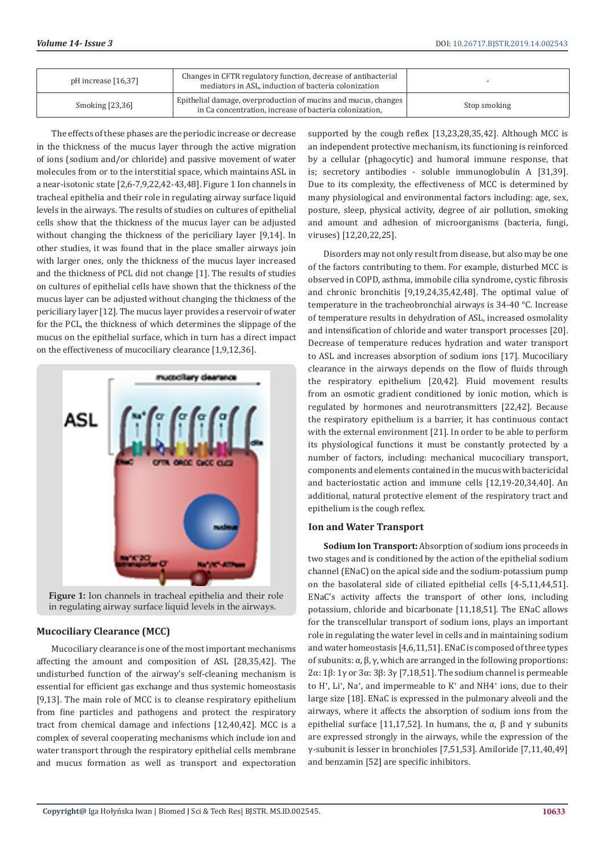| pH increase [16,37] | Changes in CFTR regulatory function, decrease of antibacterial<br>mediators in ASL, induction of bacteria colonization    |              |
|---------------------|---------------------------------------------------------------------------------------------------------------------------|--------------|
| Smoking $[23,36]$   | Epithelial damage, overproduction of mucins and mucus, changes<br>in Ca concentration, increase of bacteria colonization. | Stop smoking |

The effects of these phases are the periodic increase or decrease in the thickness of the mucus layer through the active migration of ions (sodium and/or chloride) and passive movement of water molecules from or to the interstitial space, which maintains ASL in a near-isotonic state [2,6-7,9,22,42-43,48]. Figure 1 Ion channels in tracheal epithelia and their role in regulating airway surface liquid levels in the airways. The results of studies on cultures of epithelial cells show that the thickness of the mucus layer can be adjusted without changing the thickness of the periciliary layer [9,14]. In other studies, it was found that in the place smaller airways join with larger ones, only the thickness of the mucus layer increased and the thickness of PCL did not change [1]. The results of studies on cultures of epithelial cells have shown that the thickness of the mucus layer can be adjusted without changing the thickness of the periciliary layer [12]. The mucus layer provides a reservoir of water for the PCL, the thickness of which determines the slippage of the mucus on the epithelial surface, which in turn has a direct impact on the effectiveness of mucociliary clearance [1,9,12,36].



**Figure 1:** Ion channels in tracheal epithelia and their role in regulating airway surface liquid levels in the airways.

# **Mucociliary Clearance (MCC)**

Mucociliary clearance is one of the most important mechanisms affecting the amount and composition of ASL [28,35,42]. The undisturbed function of the airway's self-cleaning mechanism is essential for efficient gas exchange and thus systemic homeostasis [9,13]. The main role of MCC is to cleanse respiratory epithelium from fine particles and pathogens and protect the respiratory tract from chemical damage and infections [12,40,42]. MCC is a complex of several cooperating mechanisms which include ion and water transport through the respiratory epithelial cells membrane and mucus formation as well as transport and expectoration supported by the cough reflex [13,23,28,35,42]. Although MCC is an independent protective mechanism, its functioning is reinforced by a cellular (phagocytic) and humoral immune response, that is; secretory antibodies - soluble immunoglobulin A [31,39]. Due to its complexity, the effectiveness of MCC is determined by many physiological and environmental factors including: age, sex, posture, sleep, physical activity, degree of air pollution, smoking and amount and adhesion of microorganisms (bacteria, fungi, viruses) [12,20,22,25].

Disorders may not only result from disease, but also may be one of the factors contributing to them. For example, disturbed MCC is observed in COPD, asthma, immobile cilia syndrome, cystic fibrosis and chronic bronchitis [9,19,24,35,42,48]. The optimal value of temperature in the tracheobronchial airways is 34-40 °C. Increase of temperature results in dehydration of ASL, increased osmolality and intensification of chloride and water transport processes [20]. Decrease of temperature reduces hydration and water transport to ASL and increases absorption of sodium ions [17]. Mucociliary clearance in the airways depends on the flow of fluids through the respiratory epithelium [20,42]. Fluid movement results from an osmotic gradient conditioned by ionic motion, which is regulated by hormones and neurotransmitters [22,42]. Because the respiratory epithelium is a barrier, it has continuous contact with the external environment [21]. In order to be able to perform its physiological functions it must be constantly protected by a number of factors, including: mechanical mucociliary transport, components and elements contained in the mucus with bactericidal and bacteriostatic action and immune cells [12,19-20,34,40]. An additional, natural protective element of the respiratory tract and epithelium is the cough reflex.

# **Ion and Water Transport**

**Sodium Ion Transport:** Absorption of sodium ions proceeds in two stages and is conditioned by the action of the epithelial sodium channel (ENaC) on the apical side and the sodium-potassium pump on the basolateral side of ciliated epithelial cells [4-5,11,44,51]. ENaC's activity affects the transport of other ions, including potassium, chloride and bicarbonate [11,18,51]. The ENaC allows for the transcellular transport of sodium ions, plays an important role in regulating the water level in cells and in maintaining sodium and water homeostasis [4,6,11,51]. ENaC is composed of three types of subunits: α, β, γ, which are arranged in the following proportions: 2α: 1β: 1γ or 3α: 3β: 3γ [7,18,51]. The sodium channel is permeable to H<sup>+</sup>, Li<sup>+</sup>, Na<sup>+</sup>, and impermeable to K<sup>+</sup> and NH4<sup>+</sup> ions, due to their large size [18]. ENaC is expressed in the pulmonary alveoli and the airways, where it affects the absorption of sodium ions from the epithelial surface [11,17,52]. In humans, the α, β and γ subunits are expressed strongly in the airways, while the expression of the γ-subunit is lesser in bronchioles [7,51,53]. Amiloride [7,11,40,49] and benzamin [52] are specific inhibitors.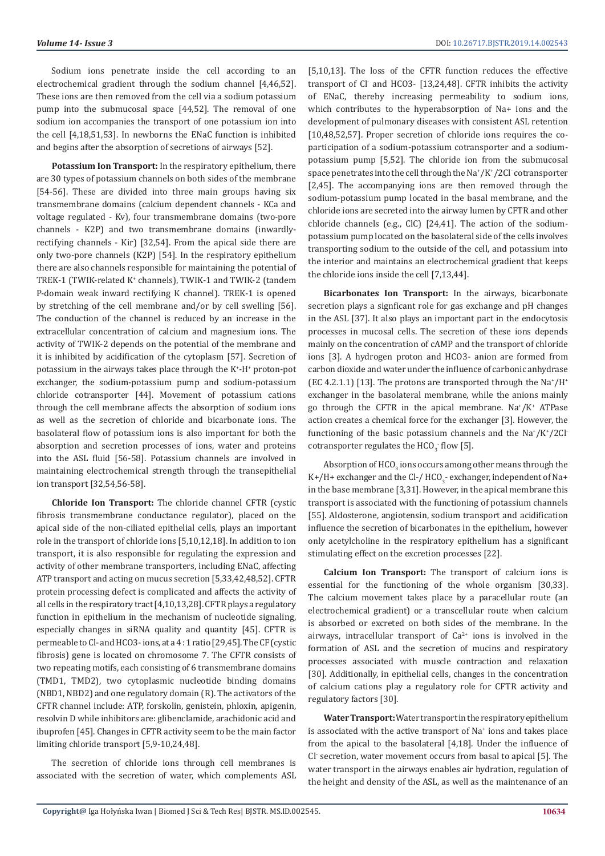Sodium ions penetrate inside the cell according to an electrochemical gradient through the sodium channel [4,46,52]. These ions are then removed from the cell via a sodium potassium pump into the submucosal space [44,52]. The removal of one sodium ion accompanies the transport of one potassium ion into the cell [4,18,51,53]. In newborns the ENaC function is inhibited and begins after the absorption of secretions of airways [52].

**Potassium Ion Transport:** In the respiratory epithelium, there are 30 types of potassium channels on both sides of the membrane [54-56]. These are divided into three main groups having six transmembrane domains (calcium dependent channels - KCa and voltage regulated - Kv), four transmembrane domains (two-pore channels - K2P) and two transmembrane domains (inwardlyrectifying channels - Kir) [32,54]. From the apical side there are only two-pore channels (K2P) [54]. In the respiratory epithelium there are also channels responsible for maintaining the potential of TREK-1 (TWIK-related K<sup>+</sup> channels), TWIK-1 and TWIK-2 (tandem P-domain weak inward rectifying K channel). TREK-1 is opened by stretching of the cell membrane and/or by cell swelling [56]. The conduction of the channel is reduced by an increase in the extracellular concentration of calcium and magnesium ions. The activity of TWIK-2 depends on the potential of the membrane and it is inhibited by acidification of the cytoplasm [57]. Secretion of potassium in the airways takes place through the K<sup>+</sup> -H+ proton-pot exchanger, the sodium-potassium pump and sodium-potassium chloride cotransporter [44]. Movement of potassium cations through the cell membrane affects the absorption of sodium ions as well as the secretion of chloride and bicarbonate ions. The basolateral flow of potassium ions is also important for both the absorption and secretion processes of ions, water and proteins into the ASL fluid [56-58]. Potassium channels are involved in maintaining electrochemical strength through the transepithelial ion transport [32,54,56-58].

**Chloride Ion Transport:** The chloride channel CFTR (cystic fibrosis transmembrane conductance regulator), placed on the apical side of the non-ciliated epithelial cells, plays an important role in the transport of chloride ions [5,10,12,18]. In addition to ion transport, it is also responsible for regulating the expression and activity of other membrane transporters, including ENaC, affecting ATP transport and acting on mucus secretion [5,33,42,48,52]. CFTR protein processing defect is complicated and affects the activity of all cells in the respiratory tract [4,10,13,28]. CFTR plays a regulatory function in epithelium in the mechanism of nucleotide signaling, especially changes in siRNA quality and quantity [45]. CFTR is permeable to Cl- and HCO3- ions, at a 4 : 1 ratio [29,45]. The CF (cystic fibrosis) gene is located on chromosome 7. The CFTR consists of two repeating motifs, each consisting of 6 transmembrane domains (TMD1, TMD2), two cytoplasmic nucleotide binding domains (NBD1, NBD2) and one regulatory domain (R). The activators of the CFTR channel include: ATP, forskolin, genistein, phloxin, apigenin, resolvin D while inhibitors are: glibenclamide, arachidonic acid and ibuprofen [45]. Changes in CFTR activity seem to be the main factor limiting chloride transport [5,9-10,24,48].

The secretion of chloride ions through cell membranes is associated with the secretion of water, which complements ASL [5,10,13]. The loss of the CFTR function reduces the effective transport of Cl- and HCO3- [13,24,48]. CFTR inhibits the activity of ENaC, thereby increasing permeability to sodium ions, which contributes to the hyperabsorption of Na+ ions and the development of pulmonary diseases with consistent ASL retention [10,48,52,57]. Proper secretion of chloride ions requires the coparticipation of a sodium-potassium cotransporter and a sodiumpotassium pump [5,52]. The chloride ion from the submucosal space penetrates into the cell through the Na<sup>+</sup> /K<sup>+</sup> /2Cl- cotransporter [2,45]. The accompanying ions are then removed through the sodium-potassium pump located in the basal membrane, and the chloride ions are secreted into the airway lumen by CFTR and other chloride channels (e.g., ClC) [24,41]. The action of the sodiumpotassium pump located on the basolateral side of the cells involves transporting sodium to the outside of the cell, and potassium into the interior and maintains an electrochemical gradient that keeps the chloride ions inside the cell [7,13,44].

**Bicarbonates Ion Transport:** In the airways, bicarbonate secretion plays a signficant role for gas exchange and pH changes in the ASL [37]. It also plays an important part in the endocytosis processes in mucosal cells. The secretion of these ions depends mainly on the concentration of cAMP and the transport of chloride ions [3]. A hydrogen proton and HCO3- anion are formed from carbon dioxide and water under the influence of carbonic anhydrase  $(EC 4.2.1.1)$  [13]. The protons are transported through the Na<sup>+</sup>/H<sup>+</sup> exchanger in the basolateral membrane, while the anions mainly go through the CFTR in the apical membrane. Na<sup>+</sup> /K<sup>+</sup> ATPase action creates a chemical force for the exchanger [3]. However, the functioning of the basic potassium channels and the  $Na^*/K^*/2Cl$ cotransporter regulates the  $HCO_3^-$  flow [5].

Absorption of  $\mathrm{HCO}_3$  ions occurs among other means through the K+/H+ exchanger and the CI-/  $\mathrm{HCO}_3$ - exchanger, independent of Na+  $\,$ in the base membrane [3,31]. However, in the apical membrane this transport is associated with the functioning of potassium channels [55]. Aldosterone, angiotensin, sodium transport and acidification influence the secretion of bicarbonates in the epithelium, however only acetylcholine in the respiratory epithelium has a significant stimulating effect on the excretion processes [22].

**Calcium Ion Transport:** The transport of calcium ions is essential for the functioning of the whole organism [30,33]. The calcium movement takes place by a paracellular route (an electrochemical gradient) or a transcellular route when calcium is absorbed or excreted on both sides of the membrane. In the airways, intracellular transport of  $Ca^{2+}$  ions is involved in the formation of ASL and the secretion of mucins and respiratory processes associated with muscle contraction and relaxation [30]. Additionally, in epithelial cells, changes in the concentration of calcium cations play a regulatory role for CFTR activity and regulatory factors [30].

**Water Transport:** Water transport in the respiratory epithelium is associated with the active transport of Na<sup>+</sup> ions and takes place from the apical to the basolateral [4,18]. Under the influence of Cl- secretion, water movement occurs from basal to apical [5]. The water transport in the airways enables air hydration, regulation of the height and density of the ASL, as well as the maintenance of an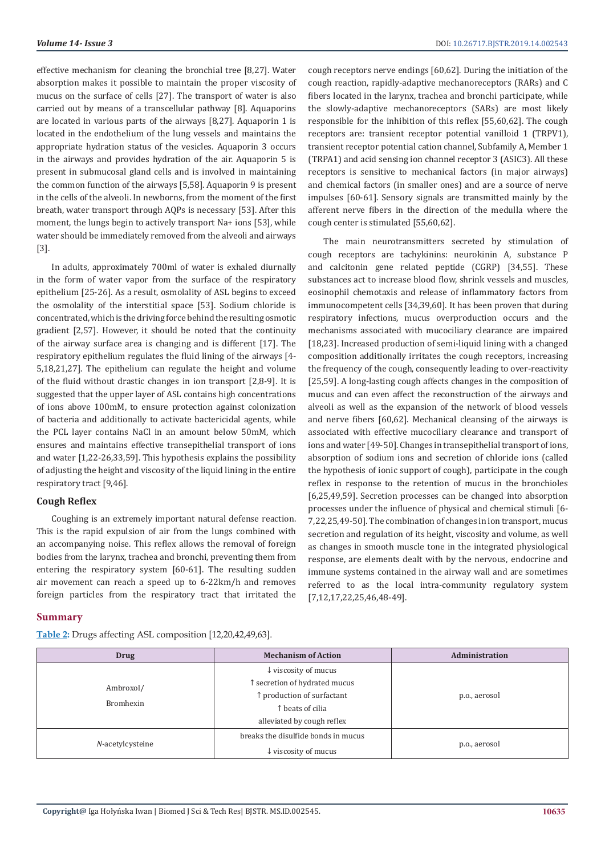effective mechanism for cleaning the bronchial tree [8,27]. Water absorption makes it possible to maintain the proper viscosity of mucus on the surface of cells [27]. The transport of water is also carried out by means of a transcellular pathway [8]. Aquaporins are located in various parts of the airways [8,27]. Aquaporin 1 is located in the endothelium of the lung vessels and maintains the appropriate hydration status of the vesicles. Aquaporin 3 occurs in the airways and provides hydration of the air. Aquaporin 5 is present in submucosal gland cells and is involved in maintaining the common function of the airways [5,58]. Aquaporin 9 is present in the cells of the alveoli. In newborns, from the moment of the first breath, water transport through AQPs is necessary [53]. After this moment, the lungs begin to actively transport Na+ ions [53], while water should be immediately removed from the alveoli and airways [3].

In adults, approximately 700ml of water is exhaled diurnally in the form of water vapor from the surface of the respiratory epithelium [25-26]. As a result, osmolality of ASL begins to exceed the osmolality of the interstitial space [53]. Sodium chloride is concentrated, which is the driving force behind the resulting osmotic gradient [2,57]. However, it should be noted that the continuity of the airway surface area is changing and is different [17]. The respiratory epithelium regulates the fluid lining of the airways [4- 5,18,21,27]. The epithelium can regulate the height and volume of the fluid without drastic changes in ion transport [2,8-9]. It is suggested that the upper layer of ASL contains high concentrations of ions above 100mM, to ensure protection against colonization of bacteria and additionally to activate bactericidal agents, while the PCL layer contains NaCl in an amount below 50mM, which ensures and maintains effective transepithelial transport of ions and water [1,22-26,33,59]. This hypothesis explains the possibility of adjusting the height and viscosity of the liquid lining in the entire respiratory tract [9,46].

## **Cough Reflex**

Coughing is an extremely important natural defense reaction. This is the rapid expulsion of air from the lungs combined with an accompanying noise. This reflex allows the removal of foreign bodies from the larynx, trachea and bronchi, preventing them from entering the respiratory system [60-61]. The resulting sudden air movement can reach a speed up to 6-22km/h and removes foreign particles from the respiratory tract that irritated the

#### **Summary**

**Table 2:** Drugs affecting ASL composition [12,20,42,49,63].

cough receptors nerve endings [60,62]. During the initiation of the cough reaction, rapidly-adaptive mechanoreceptors (RARs) and C fibers located in the larynx, trachea and bronchi participate, while the slowly-adaptive mechanoreceptors (SARs) are most likely responsible for the inhibition of this reflex [55,60,62]. The cough receptors are: transient receptor potential vanilloid 1 (TRPV1), transient receptor potential cation channel, Subfamily A, Member 1 (TRPA1) and acid sensing ion channel receptor 3 (ASIC3). All these receptors is sensitive to mechanical factors (in major airways) and chemical factors (in smaller ones) and are a source of nerve impulses [60-61]. Sensory signals are transmitted mainly by the afferent nerve fibers in the direction of the medulla where the cough center is stimulated [55,60,62].

The main neurotransmitters secreted by stimulation of cough receptors are tachykinins: neurokinin A, substance P and calcitonin gene related peptide (CGRP) [34,55]. These substances act to increase blood flow, shrink vessels and muscles, eosinophil chemotaxis and release of inflammatory factors from immunocompetent cells [34,39,60]. It has been proven that during respiratory infections, mucus overproduction occurs and the mechanisms associated with mucociliary clearance are impaired [18,23]. Increased production of semi-liquid lining with a changed composition additionally irritates the cough receptors, increasing the frequency of the cough, consequently leading to over-reactivity [25,59]. A long-lasting cough affects changes in the composition of mucus and can even affect the reconstruction of the airways and alveoli as well as the expansion of the network of blood vessels and nerve fibers [60,62]. Mechanical cleansing of the airways is associated with effective mucociliary clearance and transport of ions and water [49-50]. Changes in transepithelial transport of ions, absorption of sodium ions and secretion of chloride ions (called the hypothesis of ionic support of cough), participate in the cough reflex in response to the retention of mucus in the bronchioles [6,25,49,59]. Secretion processes can be changed into absorption processes under the influence of physical and chemical stimuli [6- 7,22,25,49-50]. The combination of changes in ion transport, mucus secretion and regulation of its height, viscosity and volume, as well as changes in smooth muscle tone in the integrated physiological response, are elements dealt with by the nervous, endocrine and immune systems contained in the airway wall and are sometimes referred to as the local intra-community regulatory system [7,12,17,22,25,46,48-49].

| <b>Drug</b>      | <b>Mechanism of Action</b>          | <b>Administration</b> |
|------------------|-------------------------------------|-----------------------|
|                  | $\downarrow$ viscosity of mucus     | p.o., aerosol         |
| Ambroxol/        | secretion of hydrated mucus         |                       |
|                  | ↑ production of surfactant          |                       |
| Bromhexin        | ↑ beats of cilia                    |                       |
|                  | alleviated by cough reflex          |                       |
|                  | breaks the disulfide bonds in mucus | p.o., aerosol         |
| N-acetylcysteine | $\downarrow$ viscosity of mucus     |                       |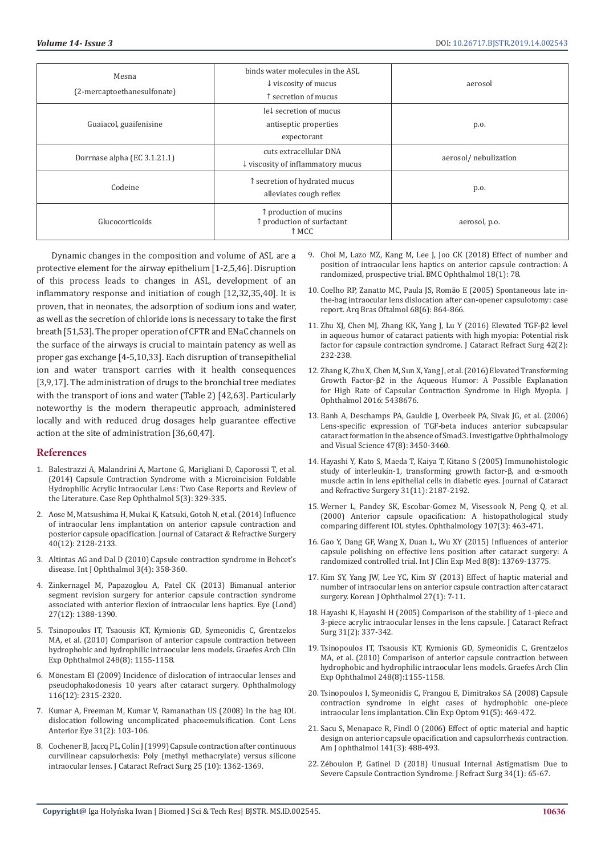| Mesna<br>(2-mercaptoethanesulfonate) | binds water molecules in the ASL<br>$\downarrow$ viscosity of mucus<br>1 secretion of mucus | aerosol              |
|--------------------------------------|---------------------------------------------------------------------------------------------|----------------------|
| Guaiacol, guaifenisine               | lel secretion of mucus<br>antiseptic properties<br>expectorant                              | p.o.                 |
| Dorrnase alpha (EC 3.1.21.1)         | cuts extracellular DNA<br>$\downarrow$ viscosity of inflammatory mucus                      | aerosol/nebulization |
| Codeine                              | ↑ secretion of hydrated mucus<br>alleviates cough reflex                                    | p.o.                 |
| Glucocorticoids                      | ↑ production of mucins<br>↑ production of surfactant<br>1 MCC                               | aerosol, p.o.        |

Dynamic changes in the composition and volume of ASL are a protective element for the airway epithelium [1-2,5,46]. Disruption of this process leads to changes in ASL, development of an inflammatory response and initiation of cough [12,32,35,40]. It is proven, that in neonates, the adsorption of sodium ions and water, as well as the secretion of chloride ions is necessary to take the first breath [51,53]. The proper operation of CFTR and ENaC channels on the surface of the airways is crucial to maintain patency as well as proper gas exchange [4-5,10,33]. Each disruption of transepithelial ion and water transport carries with it health consequences [3,9,17]. The administration of drugs to the bronchial tree mediates with the transport of ions and water (Table 2) [42,63]. Particularly noteworthy is the modern therapeutic approach, administered locally and with reduced drug dosages help guarantee effective action at the site of administration [36,60,47].

#### **References**

- 1. Balestrazzi A, Malandrini A, Martone G, Marigliani D, Caporossi T, et al. (2014) Capsule Contraction Syndrome with a Microincision Foldable Hydrophilic Acrylic Intraocular Lens: Two Case Reports and Review of the Literature. Case Rep Ophthalmol 5(3): 329-335.
- 2. Aose M, Matsushima H, Mukai K, Katsuki, Gotoh N, et al. (2014) Influence of intraocular lens implantation on anterior capsule contraction and posterior capsule opacification. Journal of Cataract & Refractive Surgery 40(12): 2128-2133.
- 3. Altintas AG and Dal D (2010) Capsule contraction syndrome in Behcet's disease. Int J Ophthalmol 3(4): 358-360.
- 4. Zinkernagel M, Papazoglou A, Patel CK (2013) Bimanual anterior segment revision surgery for anterior capsule contraction syndrome associated with anterior flexion of intraocular lens haptics. Eye (Lond) 27(12): 1388-1390.
- 5. Tsinopoulos IT, Tsaousis KT, Kymionis GD, Symeonidis C, Grentzelos MA, et al. (2010) Comparison of anterior capsule contraction between hydrophobic and hydrophilic intraocular lens models. Graefes Arch Clin Exp Ophthalmol 248(8): 1155-1158.
- 6. Mönestam EI (2009) Incidence of dislocation of intraocular lenses and pseudophakodonesis 10 years after cataract surgery. Ophthalmology 116(12): 2315-2320.
- 7. Kumar A, Freeman M, Kumar V, Ramanathan US (2008) In the bag IOL dislocation following uncomplicated phacoemulsification. Cont Lens Anterior Eye 31(2): 103-106.
- 8. Cochener B, Jaccq PL, Colin J (1999) Capsule contraction after continuous curvilinear capsulorhexis: Poly (methyl methacrylate) versus silicone intraocular lenses. J Cataract Refract Surg 25 (10): 1362-1369.
- 9. Choi M, Lazo MZ, Kang M, Lee J, Joo CK (2018) Effect of number and position of intraocular lens haptics on anterior capsule contraction: A randomized, prospective trial. BMC Ophthalmol 18(1): 78.
- 10. Coelho RP, Zanatto MC, Paula JS, Romão E (2005) Spontaneous late inthe-bag intraocular lens dislocation after can-opener capsulotomy: case report. Arq Bras Oftalmol 68(6): 864-866.
- 11. Zhu XJ, Chen MJ, Zhang KK, Yang J, Lu Y (2016) Elevated TGF-β2 level in aqueous humor of cataract patients with high myopia: Potential risk factor for capsule contraction syndrome. J Cataract Refract Surg 42(2): 232-238.
- 12. Zhang K, Zhu X, Chen M, Sun X, Yang J, et al. (2016) Elevated Transforming Growth Factor-β2 in the Aqueous Humor: A Possible Explanation for High Rate of Capsular Contraction Syndrome in High Myopia. J Ophthalmol 2016: 5438676.
- 13. Banh A, Deschamps PA, Gauldie J, Overbeek PA, Sivak JG, et al. (2006) Lens-specific expression of TGF-beta induces anterior subcapsular cataract formation in the absence of Smad3. Investigative Ophthalmology and Visual Science 47(8): 3450-3460.
- 14. Hayashi Y, Kato S, Maeda T, Kaiya T, Kitano S (2005) Immunohistologic study of interleukin-1, transforming growth factor-β, and α-smooth muscle actin in lens epithelial cells in diabetic eyes. Journal of Cataract and Refractive Surgery 31(11): 2187-2192.
- 15. Werner L, Pandey SK, Escobar-Gomez M, Visessook N, Peng Q, et al. (2000) Anterior capsule opacification: A histopathological study comparing different IOL styles. Ophthalmology 107(3): 463-471.
- 16. Gao Y, Dang GF, Wang X, Duan L, Wu XY (2015) Influences of anterior capsule polishing on effective lens position after cataract surgery: A randomized controlled trial. Int J Clin Exp Med 8(8): 13769-13775.
- 17. Kim SY, Yang JW, Lee YC, Kim SY (2013) Effect of haptic material and number of intraocular lens on anterior capsule contraction after cataract surgery. Korean J Ophthalmol 27(1): 7-11.
- 18. Hayashi K, Hayashi H (2005) Comparison of the stability of 1-piece and 3-piece acrylic intraocular lenses in the lens capsule. J Cataract Refract Surg 31(2): 337-342.
- 19. Tsinopoulos IT, Tsaousis KT, Kymionis GD, Symeonidis C, Grentzelos MA, et al. (2010) Comparison of anterior capsule contraction between hydrophobic and hydrophilic intraocular lens models. Graefes Arch Clin Exp Ophthalmol 248(8):1155-1158.
- 20. Tsinopoulos I, Symeonidis C, Frangou E, Dimitrakos SA (2008) Capsule contraction syndrome in eight cases of hydrophobic one-piece intraocular lens implantation. Clin Exp Optom 91(5): 469-472.
- 21. Sacu S, Menapace R, Findl O (2006) Effect of optic material and haptic design on anterior capsule opacification and capsulorrhexis contraction. Am J ophthalmol 141(3): 488-493.
- 22. Zéboulon P, Gatinel D (2018) Unusual Internal Astigmatism Due to Severe Capsule Contraction Syndrome. J Refract Surg 34(1): 65-67.